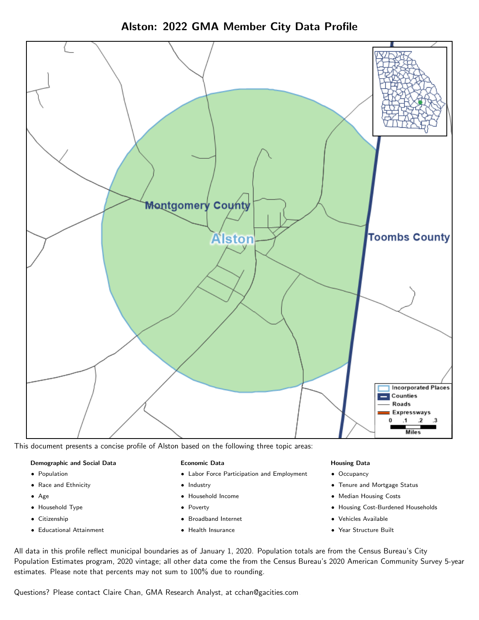Alston: 2022 GMA Member City Data Profile



This document presents a concise profile of Alston based on the following three topic areas:

#### Demographic and Social Data

- **•** Population
- Race and Ethnicity
- Age
- Household Type
- **Citizenship**
- Educational Attainment

#### Economic Data

- Labor Force Participation and Employment
- Industry
- Household Income
- Poverty
- Broadband Internet
- Health Insurance

#### Housing Data

- Occupancy
- Tenure and Mortgage Status
- Median Housing Costs
- Housing Cost-Burdened Households
- Vehicles Available
- Year Structure Built

All data in this profile reflect municipal boundaries as of January 1, 2020. Population totals are from the Census Bureau's City Population Estimates program, 2020 vintage; all other data come the from the Census Bureau's 2020 American Community Survey 5-year estimates. Please note that percents may not sum to 100% due to rounding.

Questions? Please contact Claire Chan, GMA Research Analyst, at [cchan@gacities.com.](mailto:cchan@gacities.com)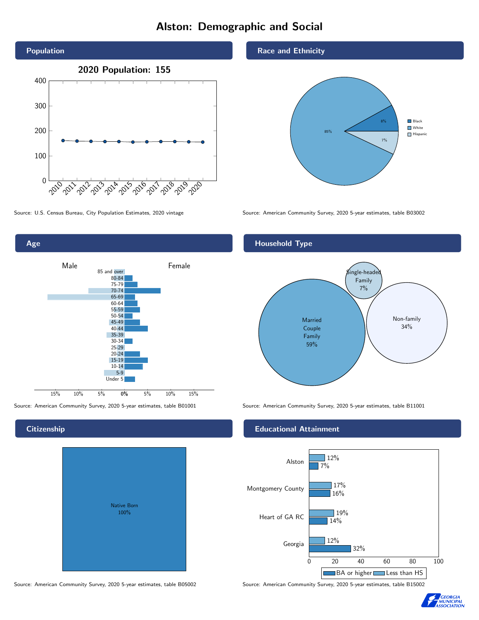# Alston: Demographic and Social



Age



**Citizenship** 



Race and Ethnicity



Source: U.S. Census Bureau, City Population Estimates, 2020 vintage Source: American Community Survey, 2020 5-year estimates, table B03002

# Household Type



Source: American Community Survey, 2020 5-year estimates, table B01001 Source: American Community Survey, 2020 5-year estimates, table B11001

### Educational Attainment



Source: American Community Survey, 2020 5-year estimates, table B05002 Source: American Community Survey, 2020 5-year estimates, table B15002

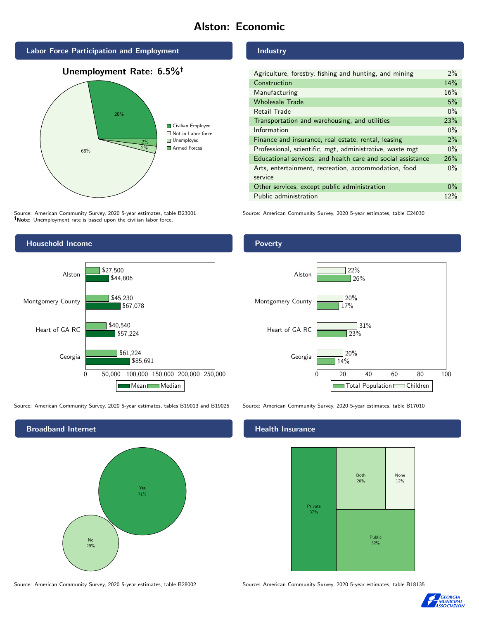# Alston: Economic



Unemployment Rate: 6.5%



Source: American Community Survey, 2020 5-year estimates, table B23001 Note: Unemployment rate is based upon the civilian labor force.

# Household Income



Source: American Community Survey, 2020 5-year estimates, tables B19013 and B19025 Source: American Community Survey, 2020 5-year estimates, table B17010



Source: American Community Survey, 2020 5-year estimates, table B28002 Source: American Community Survey, 2020 5-year estimates, table B18135

#### Industry

| Agriculture, forestry, fishing and hunting, and mining      | $2\%$ |
|-------------------------------------------------------------|-------|
| Construction                                                | 14%   |
| Manufacturing                                               | 16%   |
| <b>Wholesale Trade</b>                                      | 5%    |
| Retail Trade                                                | $0\%$ |
| Transportation and warehousing, and utilities               | 23%   |
| Information                                                 | $0\%$ |
| Finance and insurance, real estate, rental, leasing         | 2%    |
| Professional, scientific, mgt, administrative, waste mgt    | $0\%$ |
| Educational services, and health care and social assistance | 26%   |
| Arts, entertainment, recreation, accommodation, food        | $0\%$ |
| service                                                     |       |
| Other services, except public administration                | $0\%$ |
| Public administration                                       | 12%   |

Source: American Community Survey, 2020 5-year estimates, table C24030

## Poverty



### Health Insurance